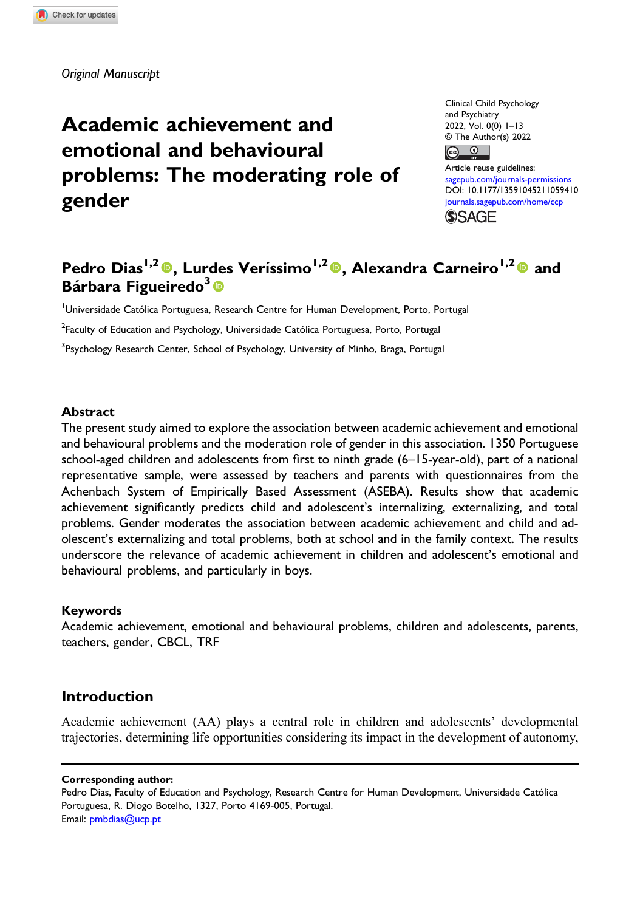Original Manuscript

# Academic achievement and emotional and behavioural problems: The moderating role of gender

Clinical Child Psychology and Psychiatry 2022, Vol. 0(0) 1–13  $\circled{c}$  The Author(s) 2022 Article reuse guidelines: [sagepub.com/journals-permissions](https://uk.sagepub.com/en-gb/journals-permissions) DOI: [10.1177/13591045211059410](https://doi.org/10.1177/13591045211059410)

[journals.sagepub.com/home/ccp](https://journals.sagepub.com/home/ccp) **SSAGE** 

## Pedro Dias<sup>1,2</sup> $\bullet$ , Lurdes Veríssimo<sup>1,2</sup> $\bullet$ , Alexandra Carneiro<sup>1,2</sup> $\bullet$  and Bárbara Figueiredo<sup>3</sup>

<sup>1</sup>Universidade Católica Portuguesa, Research Centre for Human Development, Porto, Portugal  $^2$ Faculty of Education and Psychology, Universidade Católica Portuguesa, Porto, Portugal <sup>3</sup>Psychology Research Center, School of Psychology, University of Minho, Braga, Portugal

#### Abstract

The present study aimed to explore the association between academic achievement and emotional and behavioural problems and the moderation role of gender in this association. 1350 Portuguese school-aged children and adolescents from first to ninth grade (6–15-year-old), part of a national representative sample, were assessed by teachers and parents with questionnaires from the Achenbach System of Empirically Based Assessment (ASEBA). Results show that academic achievement significantly predicts child and adolescent's internalizing, externalizing, and total problems. Gender moderates the association between academic achievement and child and adolescent's externalizing and total problems, both at school and in the family context. The results underscore the relevance of academic achievement in children and adolescent's emotional and behavioural problems, and particularly in boys.

### Keywords

Academic achievement, emotional and behavioural problems, children and adolescents, parents, teachers, gender, CBCL, TRF

### Introduction

Academic achievement (AA) plays a central role in children and adolescents' developmental trajectories, determining life opportunities considering its impact in the development of autonomy,

Corresponding author:

Pedro Dias, Faculty of Education and Psychology, Research Centre for Human Development, Universidade Católica Portuguesa, R. Diogo Botelho, 1327, Porto 4169-005, Portugal. Email: [pmbdias@ucp.pt](mailto:pmbdias@ucp.pt)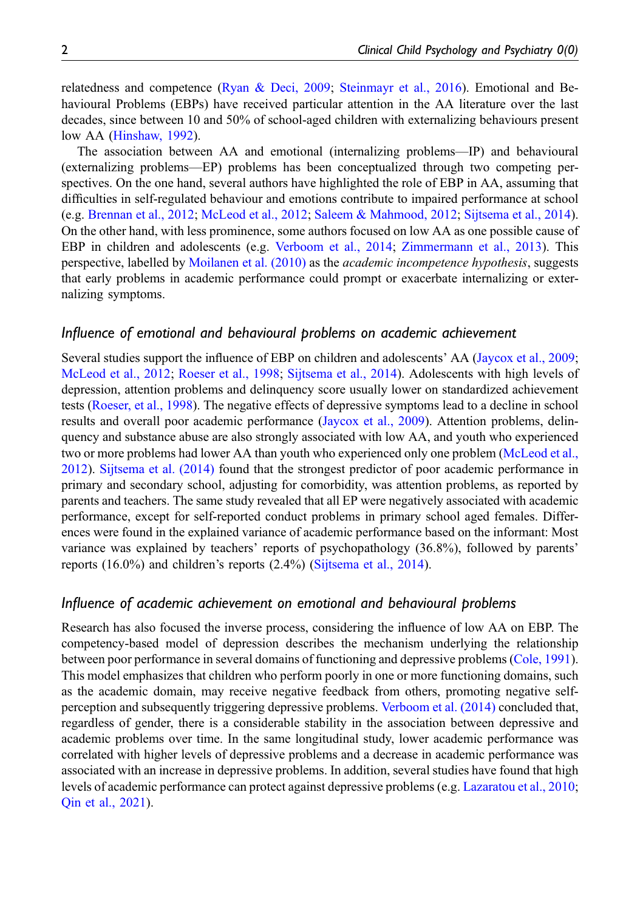relatedness and competence [\(Ryan & Deci, 2009;](#page-11-0) [Steinmayr et al., 2016\)](#page-11-1). Emotional and Behavioural Problems (EBPs) have received particular attention in the AA literature over the last decades, since between 10 and 50% of school-aged children with externalizing behaviours present low AA [\(Hinshaw, 1992\)](#page-10-0).

The association between AA and emotional (internalizing problems—IP) and behavioural (externalizing problems—EP) problems has been conceptualized through two competing perspectives. On the one hand, several authors have highlighted the role of EBP in AA, assuming that difficulties in self-regulated behaviour and emotions contribute to impaired performance at school (e.g. [Brennan et al., 2012](#page-10-1); [McLeod et al., 2012;](#page-11-2) [Saleem & Mahmood, 2012](#page-11-3); [Sijtsema et al., 2014](#page-11-4)). On the other hand, with less prominence, some authors focused on low AA as one possible cause of EBP in children and adolescents (e.g. [Verboom et al., 2014;](#page-11-5) [Zimmermann et al., 2013](#page-12-0)). This perspective, labelled by [Moilanen et al. \(2010\)](#page-11-6) as the academic incompetence hypothesis, suggests that early problems in academic performance could prompt or exacerbate internalizing or externalizing symptoms.

### Influence of emotional and behavioural problems on academic achievement

Several studies support the influence of EBP on children and adolescents' AA [\(Jaycox et al., 2009](#page-10-2); [McLeod et al., 2012;](#page-11-2) [Roeser et al., 1998;](#page-11-7) [Sijtsema et al., 2014](#page-11-4)). Adolescents with high levels of depression, attention problems and delinquency score usually lower on standardized achievement tests [\(Roeser, et al., 1998](#page-11-7)). The negative effects of depressive symptoms lead to a decline in school results and overall poor academic performance ([Jaycox et al., 2009\)](#page-10-2). Attention problems, delinquency and substance abuse are also strongly associated with low AA, and youth who experienced two or more problems had lower AA than youth who experienced only one problem ([McLeod et al.,](#page-11-2) [2012](#page-11-2)). [Sijtsema et al. \(2014\)](#page-11-4) found that the strongest predictor of poor academic performance in primary and secondary school, adjusting for comorbidity, was attention problems, as reported by parents and teachers. The same study revealed that all EP were negatively associated with academic performance, except for self-reported conduct problems in primary school aged females. Differences were found in the explained variance of academic performance based on the informant: Most variance was explained by teachers' reports of psychopathology (36.8%), followed by parents' reports (16.0%) and children's reports (2.4%) ([Sijtsema et al., 2014](#page-11-4)).

### Influence of academic achievement on emotional and behavioural problems

Research has also focused the inverse process, considering the influence of low AA on EBP. The competency-based model of depression describes the mechanism underlying the relationship between poor performance in several domains of functioning and depressive problems ([Cole, 1991](#page-10-3)). This model emphasizes that children who perform poorly in one or more functioning domains, such as the academic domain, may receive negative feedback from others, promoting negative selfperception and subsequently triggering depressive problems. [Verboom et al. \(2014\)](#page-11-5) concluded that, regardless of gender, there is a considerable stability in the association between depressive and academic problems over time. In the same longitudinal study, lower academic performance was correlated with higher levels of depressive problems and a decrease in academic performance was associated with an increase in depressive problems. In addition, several studies have found that high levels of academic performance can protect against depressive problems (e.g. [Lazaratou et al., 2010](#page-11-8); [Qin et al., 2021](#page-11-9)).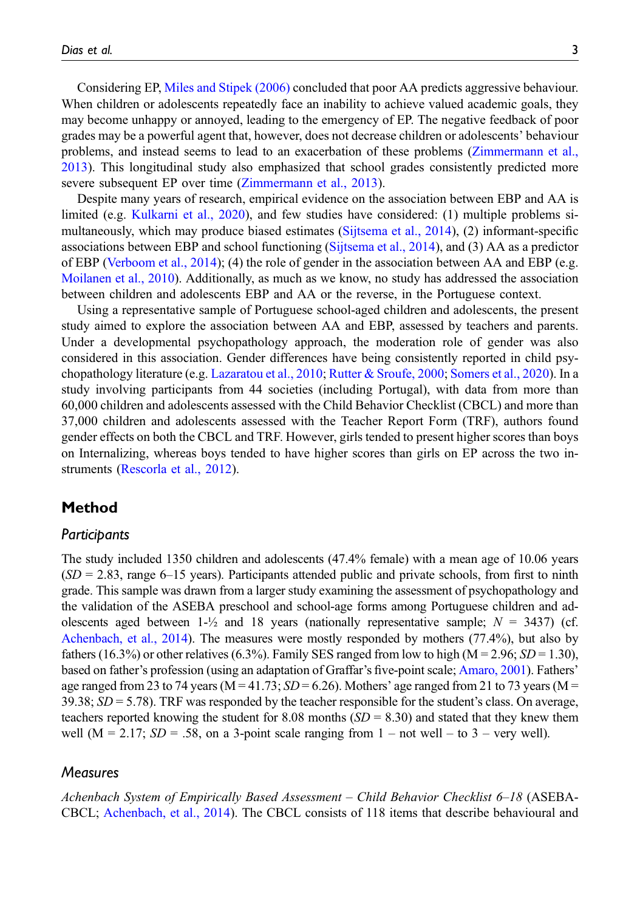Considering EP, [Miles and Stipek \(2006\)](#page-11-10) concluded that poor AA predicts aggressive behaviour. When children or adolescents repeatedly face an inability to achieve valued academic goals, they may become unhappy or annoyed, leading to the emergency of EP. The negative feedback of poor grades may be a powerful agent that, however, does not decrease children or adolescents' behaviour problems, and instead seems to lead to an exacerbation of these problems ([Zimmermann et al.,](#page-12-0) [2013](#page-12-0)). This longitudinal study also emphasized that school grades consistently predicted more severe subsequent EP over time ([Zimmermann et al., 2013\)](#page-12-0).

Despite many years of research, empirical evidence on the association between EBP and AA is limited (e.g. [Kulkarni et al., 2020\)](#page-11-11), and few studies have considered: (1) multiple problems simultaneously, which may produce biased estimates ([Sijtsema et al., 2014](#page-11-4)), (2) informant-specific associations between EBP and school functioning ([Sijtsema et al., 2014\)](#page-11-4), and (3) AA as a predictor of EBP ([Verboom et al., 2014](#page-11-5)); (4) the role of gender in the association between AA and EBP (e.g. [Moilanen et al., 2010](#page-11-6)). Additionally, as much as we know, no study has addressed the association between children and adolescents EBP and AA or the reverse, in the Portuguese context.

Using a representative sample of Portuguese school-aged children and adolescents, the present study aimed to explore the association between AA and EBP, assessed by teachers and parents. Under a developmental psychopathology approach, the moderation role of gender was also considered in this association. Gender differences have being consistently reported in child psychopathology literature (e.g. [Lazaratou et al., 2010](#page-11-8); [Rutter & Sroufe, 2000;](#page-11-12) [Somers et al., 2020\)](#page-11-13). In a study involving participants from 44 societies (including Portugal), with data from more than 60,000 children and adolescents assessed with the Child Behavior Checklist (CBCL) and more than 37,000 children and adolescents assessed with the Teacher Report Form (TRF), authors found gender effects on both the CBCL and TRF. However, girls tended to present higher scores than boys on Internalizing, whereas boys tended to have higher scores than girls on EP across the two instruments [\(Rescorla et al., 2012\)](#page-11-14).

### Method

### Participants

The study included 1350 children and adolescents (47.4% female) with a mean age of 10.06 years  $(SD = 2.83$ , range 6–15 years). Participants attended public and private schools, from first to ninth grade. This sample was drawn from a larger study examining the assessment of psychopathology and the validation of the ASEBA preschool and school-age forms among Portuguese children and adolescents aged between 1- $\frac{1}{2}$  and 18 years (nationally representative sample;  $N = 3437$ ) (cf. [Achenbach, et al., 2014](#page-10-4)). The measures were mostly responded by mothers (77.4%), but also by fathers (16.3%) or other relatives (6.3%). Family SES ranged from low to high ( $M = 2.96$ ;  $SD = 1.30$ ), based on father's profession (using an adaptation of Graffar's five-point scale; [Amaro, 2001\)](#page-10-5). Fathers' age ranged from 23 to 74 years ( $M = 41.73$ ;  $SD = 6.26$ ). Mothers' age ranged from 21 to 73 years ( $M =$  $39.38$ ;  $SD = 5.78$ ). TRF was responded by the teacher responsible for the student's class. On average, teachers reported knowing the student for 8.08 months  $(SD = 8.30)$  and stated that they knew them well (M = 2.17;  $SD = .58$ , on a 3-point scale ranging from 1 – not well – to 3 – very well).

### Measures

Achenbach System of Empirically Based Assessment – Child Behavior Checklist 6–18 (ASEBA-CBCL; [Achenbach, et al., 2014](#page-10-4)). The CBCL consists of 118 items that describe behavioural and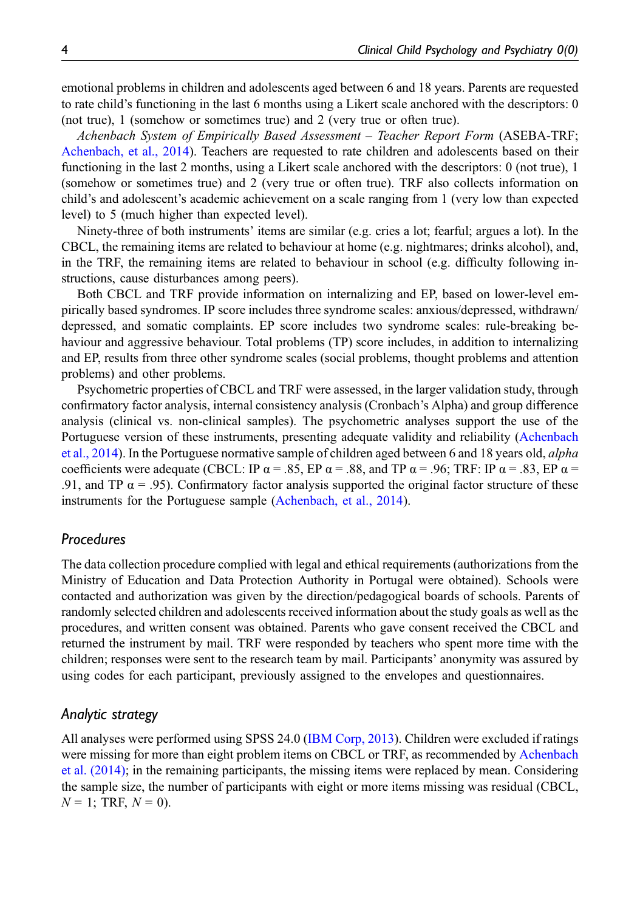emotional problems in children and adolescents aged between 6 and 18 years. Parents are requested to rate child's functioning in the last 6 months using a Likert scale anchored with the descriptors: 0 (not true), 1 (somehow or sometimes true) and 2 (very true or often true).

Achenbach System of Empirically Based Assessment – Teacher Report Form (ASEBA-TRF; [Achenbach, et al., 2014\)](#page-10-4). Teachers are requested to rate children and adolescents based on their functioning in the last 2 months, using a Likert scale anchored with the descriptors: 0 (not true), 1 (somehow or sometimes true) and 2 (very true or often true). TRF also collects information on child's and adolescent's academic achievement on a scale ranging from 1 (very low than expected level) to 5 (much higher than expected level).

Ninety-three of both instruments' items are similar (e.g. cries a lot; fearful; argues a lot). In the CBCL, the remaining items are related to behaviour at home (e.g. nightmares; drinks alcohol), and, in the TRF, the remaining items are related to behaviour in school (e.g. difficulty following instructions, cause disturbances among peers).

Both CBCL and TRF provide information on internalizing and EP, based on lower-level empirically based syndromes. IP score includes three syndrome scales: anxious/depressed, withdrawn/ depressed, and somatic complaints. EP score includes two syndrome scales: rule-breaking behaviour and aggressive behaviour. Total problems (TP) score includes, in addition to internalizing and EP, results from three other syndrome scales (social problems, thought problems and attention problems) and other problems.

Psychometric properties of CBCL and TRF were assessed, in the larger validation study, through confirmatory factor analysis, internal consistency analysis (Cronbach's Alpha) and group difference analysis (clinical vs. non-clinical samples). The psychometric analyses support the use of the Portuguese version of these instruments, presenting adequate validity and reliability [\(Achenbach](#page-10-4) [et al., 2014](#page-10-4)). In the Portuguese normative sample of children aged between 6 and 18 years old, alpha coefficients were adequate (CBCL: IP  $\alpha$  = .85, EP  $\alpha$  = .88, and TP  $\alpha$  = .96; TRF: IP  $\alpha$  = .83, EP  $\alpha$  = .91, and TP  $\alpha$  = .95). Confirmatory factor analysis supported the original factor structure of these instruments for the Portuguese sample [\(Achenbach, et al., 2014\)](#page-10-4).

### Procedures

The data collection procedure complied with legal and ethical requirements (authorizations from the Ministry of Education and Data Protection Authority in Portugal were obtained). Schools were contacted and authorization was given by the direction/pedagogical boards of schools. Parents of randomly selected children and adolescents received information about the study goals as well as the procedures, and written consent was obtained. Parents who gave consent received the CBCL and returned the instrument by mail. TRF were responded by teachers who spent more time with the children; responses were sent to the research team by mail. Participants' anonymity was assured by using codes for each participant, previously assigned to the envelopes and questionnaires.

### Analytic strategy

All analyses were performed using SPSS 24.0 ([IBM Corp, 2013](#page-10-6)). Children were excluded if ratings were missing for more than eight problem items on CBCL or TRF, as recommended by [Achenbach](#page-10-4) [et al. \(2014\)](#page-10-4); in the remaining participants, the missing items were replaced by mean. Considering the sample size, the number of participants with eight or more items missing was residual (CBCL,  $N = 1$ ; TRF,  $N = 0$ ).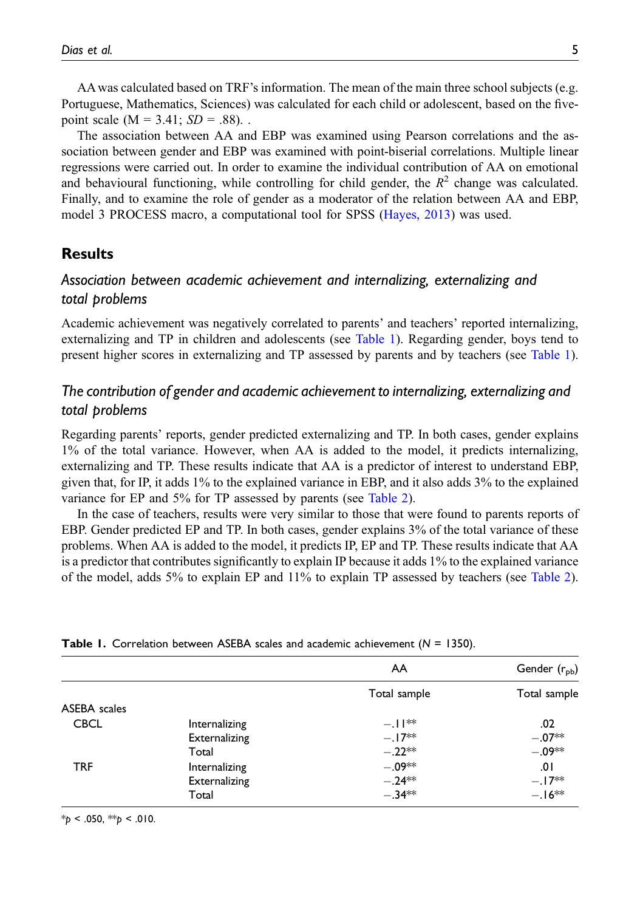AA was calculated based on TRF's information. The mean of the main three school subjects (e.g. Portuguese, Mathematics, Sciences) was calculated for each child or adolescent, based on the fivepoint scale ( $M = 3.41$ ;  $SD = .88$ ).

The association between AA and EBP was examined using Pearson correlations and the association between gender and EBP was examined with point-biserial correlations. Multiple linear regressions were carried out. In order to examine the individual contribution of AA on emotional and behavioural functioning, while controlling for child gender, the  $R<sup>2</sup>$  change was calculated. Finally, and to examine the role of gender as a moderator of the relation between AA and EBP, model 3 PROCESS macro, a computational tool for SPSS ([Hayes, 2013\)](#page-10-7) was used.

### **Results**

### Association between academic achievement and internalizing, externalizing and total problems

Academic achievement was negatively correlated to parents' and teachers' reported internalizing, externalizing and TP in children and adolescents (see [Table 1](#page-4-0)). Regarding gender, boys tend to present higher scores in externalizing and TP assessed by parents and by teachers (see [Table 1](#page-4-0)).

### The contribution of gender and academic achievement to internalizing, externalizing and total problems

Regarding parents' reports, gender predicted externalizing and TP. In both cases, gender explains 1% of the total variance. However, when AA is added to the model, it predicts internalizing, externalizing and TP. These results indicate that AA is a predictor of interest to understand EBP, given that, for IP, it adds 1% to the explained variance in EBP, and it also adds 3% to the explained variance for EP and 5% for TP assessed by parents (see [Table 2\)](#page-5-0).

In the case of teachers, results were very similar to those that were found to parents reports of EBP. Gender predicted EP and TP. In both cases, gender explains 3% of the total variance of these problems. When AA is added to the model, it predicts IP, EP and TP. These results indicate that AA is a predictor that contributes significantly to explain IP because it adds 1% to the explained variance of the model, adds 5% to explain EP and 11% to explain TP assessed by teachers (see [Table 2](#page-5-0)).

|              |               | AA           | Gender (r <sub>pb</sub> ) |
|--------------|---------------|--------------|---------------------------|
|              |               | Total sample | Total sample              |
| ASEBA scales |               |              |                           |
| <b>CBCL</b>  | Internalizing | $-.11**$     | .02                       |
|              | Externalizing | $-.17**$     | $-.07**$                  |
|              | Total         | $-.22**$     | $-.09**$                  |
| <b>TRF</b>   | Internalizing | $-.09**$     | 0۱.                       |
|              | Externalizing | $-.24**$     | $-.17**$                  |
|              | Total         | $-.34**$     | $-.16**$                  |

Table 1. Correlation between ASEBA scales and academic achievement  $(N = 1350)$ .

<span id="page-4-0"></span> $*_{p}$  < .050,  $*_{p}$  < .010.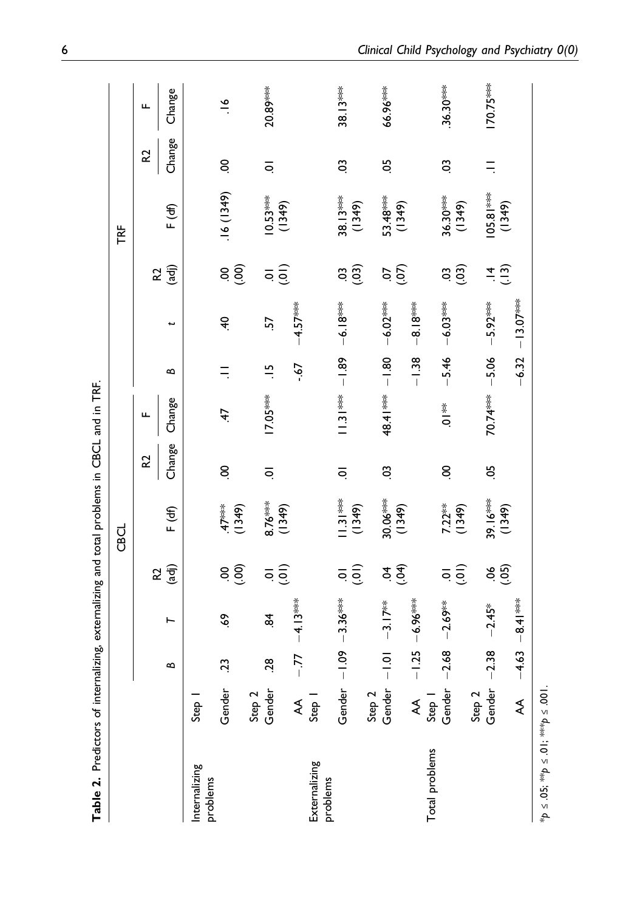<span id="page-5-0"></span>

| Table 2. Predictors of internalizing, externalizing and total problems in CBCL and in TRF. |                  |             |                       |                                |                      |                    |                  |               |             |                                                      |                      |        |               |
|--------------------------------------------------------------------------------------------|------------------|-------------|-----------------------|--------------------------------|----------------------|--------------------|------------------|---------------|-------------|------------------------------------------------------|----------------------|--------|---------------|
|                                                                                            |                  |             |                       |                                | CBCL                 |                    |                  |               |             |                                                      | TRF                  |        |               |
|                                                                                            |                  | $\mathbf l$ |                       | 5                              |                      | 52                 | щ                |               |             | 52                                                   |                      | 52     | щ             |
|                                                                                            |                  | ≏           | ⊢                     | (adj)                          | F ( <del>d</del> f)  | Change             | Change           | ≏             | پ           | (adj)                                                | F ( <del>d</del> )   | Change | Change        |
| Internalizing<br>problems                                                                  | Step             |             |                       |                                |                      |                    |                  |               |             |                                                      |                      |        |               |
|                                                                                            | Gender           | 23          | ę,                    | $8\overline{6}$                | (1349)               | S                  | 47               |               | ą.          | $8\overline{6}$                                      | .16(1349)            | S      | $\frac{8}{1}$ |
|                                                                                            | Gender<br>Step 2 | 28          | æ.                    |                                |                      |                    | $17.05***$       | $\frac{5}{1}$ | 57          |                                                      |                      |        | $20.89***$    |
|                                                                                            |                  |             |                       | $\overline{a}$                 | $\frac{616}{(1349)}$ | $\overline{\circ}$ |                  |               |             | $\overline{5}$                                       | (1349)               | ē      |               |
|                                                                                            | ₹                | $-77$       | $-4.13***$            |                                |                      |                    |                  | $19 -$        | $-4.57***$  |                                                      |                      |        |               |
| Externalizing<br>problems                                                                  | Step 1           |             |                       |                                |                      |                    |                  |               |             |                                                      |                      |        |               |
|                                                                                            | Gender           | $-1.09$     | $-3.36***$            | $\overline{a}$                 | $(1.31***$<br>(1349) | $\overline{\circ}$ | $11.31***$       | $-1.89$       | $-6.18***$  | $\overset{\circ}{\text{G}}\overset{\circ}{\text{G}}$ | $38.13***$<br>(1349) | CO.    | 38.13***      |
|                                                                                            | Step 2           |             |                       |                                |                      |                    |                  |               |             |                                                      |                      |        |               |
|                                                                                            | Gender           | $-1.01$     | $-3.17$ <sup>**</sup> | $\vec{x} \, \widehat{\vec{x}}$ | $30.06***$<br>(1349) | C,                 | 48.41 ***        | $-1.80$       | $-6.02***$  | e ë                                                  | 53.48***<br>(1349)   | 50     | 66.96***      |
|                                                                                            | ₹                | $-1.25$     | $-6.96***$            |                                |                      |                    |                  | $-1.38$       | $-8.18***$  |                                                      |                      |        |               |
| Total problems                                                                             | Step 1           |             |                       |                                |                      |                    |                  |               |             |                                                      |                      |        |               |
|                                                                                            | Gender           | $-2.68$     | $-2.69**$             | $\overline{a}$                 | 7.22**<br>(1349)     | S                  | $\sum_{i=1}^{N}$ | $-5.46$       | $-6.03***$  | $\ddot{a}$                                           | 36.30***<br>(1349)   | CO.    | $.36.30***$   |
|                                                                                            | Step 2           |             |                       |                                |                      |                    |                  |               |             |                                                      |                      |        |               |
|                                                                                            | Gender           | $-2.38$     | $-2.45*$              | 860                            | $39.16***$<br>(1349) | 50                 | 70.74***         | $-5.06$       | $-5.92***$  | (13)<br>$\vec{r}$                                    | $05.81***$<br>(1349) | Ξ      | $170.75***$   |
|                                                                                            | ₹                | $-4.63$     | $-8.41***$            |                                |                      |                    |                  | $-6.32$       | $-13.07$ ** |                                                      |                      |        |               |
| $4p \leq .05$ ; $44p \leq .01$ ; $444p \leq .001$ .                                        |                  |             |                       |                                |                      |                    |                  |               |             |                                                      |                      |        |               |

**Hip TRE CBC** <u>ي</u> ے<br>ملہ  $\overline{1}$  $\frac{1}{1}$ أراد 4 J. ં J. ं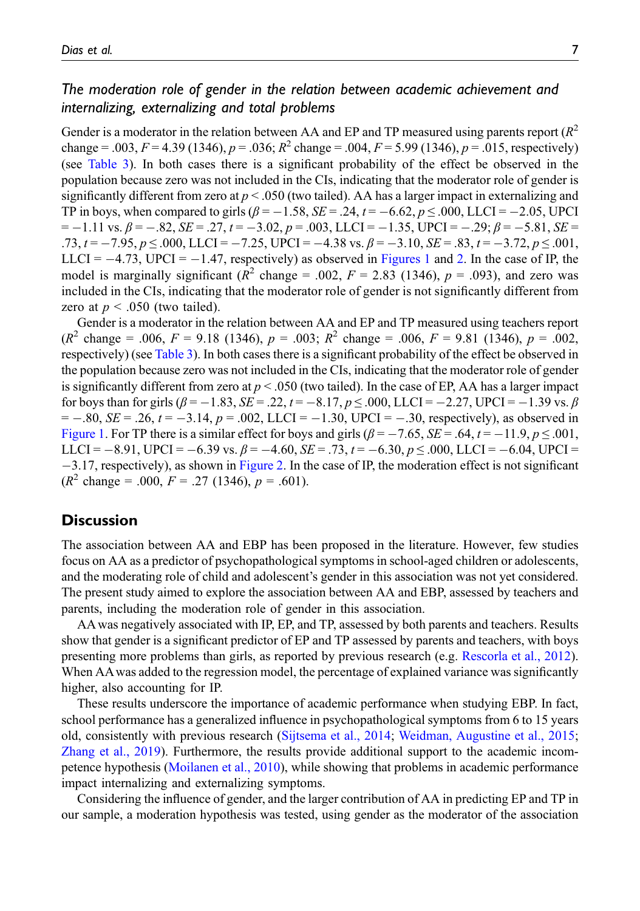### The moderation role of gender in the relation between academic achievement and internalizing, externalizing and total problems

Gender is a moderator in the relation between AA and EP and TP measured using parents report  $(R^2)$ change = .003,  $F = 4.39$  (1346),  $p = .036$ ;  $R^2$  change = .004,  $F = 5.99$  (1346),  $p = .015$ , respectively) (see [Table 3](#page-7-0)). In both cases there is a significant probability of the effect be observed in the population because zero was not included in the CIs, indicating that the moderator role of gender is significantly different from zero at  $p < .050$  (two tailed). AA has a larger impact in externalizing and TP in boys, when compared to girls  $(\beta = -1.58, SE = .24, t = -6.62, p \le 0.000, LLCI = -2.05, UPCI$  $= -1.11$  vs.  $\beta = -.82$ ,  $SE = .27$ ,  $t = -3.02$ ,  $p = .003$ , LLCI =  $-1.35$ , UPCI =  $-.29$ ;  $\beta = -.81$ ,  $SE =$  $.73, t = -7.95, p \le 0.000$ , LLCI =  $-7.25$ , UPCI =  $-4.38$  vs.  $\beta = -3.10$ ,  $SE = .83$ ,  $t = -3.72$ ,  $p \le 0.001$ , LLCI =  $-4.73$ , UPCI =  $-1.47$ , respectively) as observed in [Figures 1](#page-8-0) and [2](#page-8-1). In the case of IP, the model is marginally significant ( $R^2$  change = .002,  $F = 2.83$  (1346),  $p = .093$ ), and zero was included in the CIs, indicating that the moderator role of gender is not significantly different from zero at  $p < .050$  (two tailed).

Gender is a moderator in the relation between AA and EP and TP measured using teachers report  $(R^2 \text{ change} = .006, F = 9.18 \text{ (1346)}, p = .003; R^2 \text{ change} = .006, F = 9.81 \text{ (1346)}, p = .002,$ respectively) (see [Table 3\)](#page-7-0). In both cases there is a significant probability of the effect be observed in the population because zero was not included in the CIs, indicating that the moderator role of gender is significantly different from zero at  $p < .050$  (two tailed). In the case of EP, AA has a larger impact for boys than for girls  $(\beta = -1.83, SE = .22, t = -8.17, p \le .000, LLCI = -2.27, UPCI = -1.39$  vs.  $\beta$  $= -.80$ ,  $SE = .26$ ,  $t = -3.14$ ,  $p = .002$ , LLCI =  $-1.30$ , UPCI =  $-.30$ , respectively), as observed in [Figure 1](#page-8-0). For TP there is a similar effect for boys and girls  $(\beta = -7.65, \text{SE} = .64, t = -11.9, p \leq .001,$ LLCI =  $-8.91$ , UPCI =  $-6.39$  vs.  $\beta = -4.60$ ,  $SE = .73$ ,  $t = -6.30$ ,  $p \le .000$ , LLCI =  $-6.04$ , UPCI =  $-3.17$ , respectively), as shown in [Figure 2](#page-8-1). In the case of IP, the moderation effect is not significant  $(R^2 \text{ change} = .000, F = .27 (1346), p = .601).$ 

### **Discussion**

The association between AA and EBP has been proposed in the literature. However, few studies focus on AA as a predictor of psychopathological symptoms in school-aged children or adolescents, and the moderating role of child and adolescent's gender in this association was not yet considered. The present study aimed to explore the association between AA and EBP, assessed by teachers and parents, including the moderation role of gender in this association.

AA was negatively associated with IP, EP, and TP, assessed by both parents and teachers. Results show that gender is a significant predictor of EP and TP assessed by parents and teachers, with boys presenting more problems than girls, as reported by previous research (e.g. [Rescorla et al., 2012](#page-11-14)). When AA was added to the regression model, the percentage of explained variance was significantly higher, also accounting for IP.

These results underscore the importance of academic performance when studying EBP. In fact, school performance has a generalized influence in psychopathological symptoms from 6 to 15 years old, consistently with previous research ([Sijtsema et al., 2014](#page-11-4); [Weidman, Augustine et al., 2015](#page-12-1); [Zhang et al., 2019](#page-12-2)). Furthermore, the results provide additional support to the academic incompetence hypothesis ([Moilanen et al., 2010](#page-11-6)), while showing that problems in academic performance impact internalizing and externalizing symptoms.

Considering the influence of gender, and the larger contribution of AA in predicting EP and TP in our sample, a moderation hypothesis was tested, using gender as the moderator of the association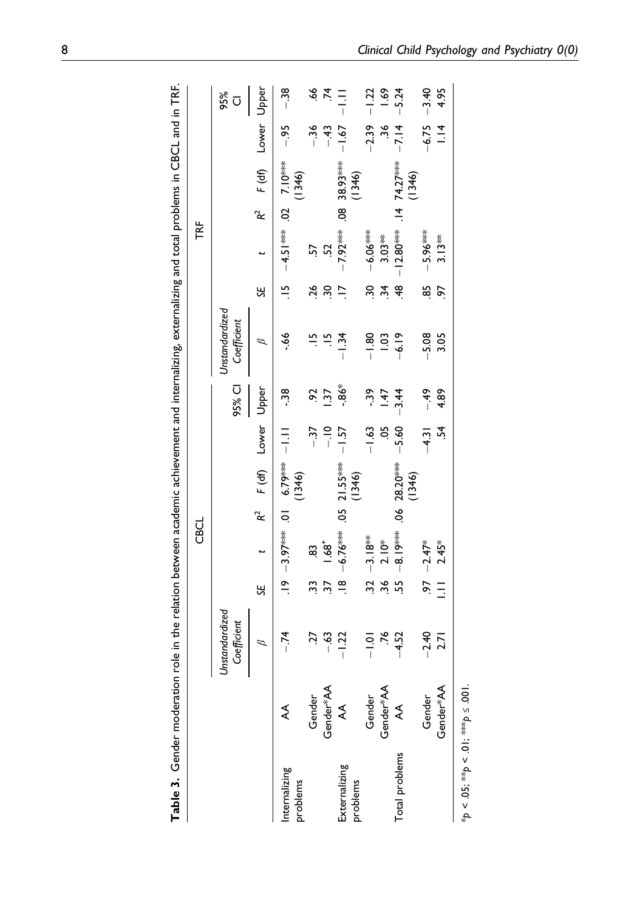<span id="page-7-0"></span>

|  |             | 95%<br>Cl                     | Upper<br>Lower<br>$F$ (df)<br>R <sup>2</sup> | $-38$<br>$-95$<br>$-4.51***$ 0.02 20<br>(1346) | $-36$  | $rac{6}{7}$<br>$-43$  | ミデ<br>$-1.67$<br>38.93 *** | (1346)   | $-1.22$<br>$-2.39$ | 1.69<br>ەد     | $-5.24$<br>$-7.14$<br>$74.27***$<br>(1346)                | $-3.40$<br>$-6.75$ | 4.95<br>$\frac{4}{1}$ |
|--|-------------|-------------------------------|----------------------------------------------|------------------------------------------------|--------|-----------------------|----------------------------|----------|--------------------|----------------|-----------------------------------------------------------|--------------------|-----------------------|
|  | ĨĚ          |                               | ÷                                            |                                                | 57     | 52                    | $-7.92***.08$              |          | $-6.06***$         | $3.03**$       | $-12.80***$ . 14                                          | $-5.96***$         | $3.13**$              |
|  |             |                               | SE                                           | $\frac{15}{2}$                                 | 26     | $\tilde{\mathcal{E}}$ | $\overline{a}$             |          | 90                 | $\ddot{3}$     | 48                                                        | 85                 | 56                    |
|  |             | Unstandardized<br>Coefficient | Β                                            | $-66$                                          |        | $\ddot{=}$ $\ddot{=}$ | $-1.34$                    |          | $-1.80$            | 1.03           | $-6.19$                                                   | $-5.08$            | 3.05                  |
|  |             | 95% CI                        | Upper                                        | م.<br>م                                        | Só     | $\overline{37}$       | $-86*$                     |          | -39                | 147            | $-3.44$                                                   | $-49$              | 4.89                  |
|  |             |                               | Lower                                        |                                                | $-37$  | $-10$                 | $-1.57$                    |          | $-1.63$            | ă.             | $-5.60$                                                   | $-4.31$            | ž.                    |
|  |             |                               | F(d)                                         | ****6C'9 10: *****66'S-1 6-1.<br>(1346)        |        |                       |                            | (1346)   |                    |                | $-8.19$ <sup>***</sup> .06 28.20 <sup>***</sup><br>(1346) |                    |                       |
|  | <b>CBCL</b> |                               | k,                                           |                                                |        |                       |                            |          |                    |                |                                                           |                    |                       |
|  |             |                               |                                              |                                                | œ.     | $-68$                 | $-6.76***$ .05 21.55***    |          | $.32 - 3.18***$    | $2.10*$        |                                                           | $-2.47*$           | $2.45*$               |
|  |             |                               | SE                                           |                                                | 33     | 57                    | $\frac{8}{1}$              |          |                    | 96.            | 55                                                        | 56                 | $\equiv$              |
|  |             | Unstandardized<br>Coefficient | Β                                            | $-74$                                          | 27     |                       | $-1.22$                    |          | $-1.01$            | $\overline{5}$ | $-4.52$                                                   | $-2.40$            | <b>Z.7</b>            |
|  |             |                               |                                              | ₹                                              | Gender | Gender*AA             | ₹                          |          | Gender             | Gender*AA      | ₹                                                         | Gender             | Gender*AA             |
|  |             |                               |                                              | nternalizing<br>problems                       |        |                       | Externalizing              | problems |                    |                | Total problems                                            |                    |                       |

**Table 3.** Gender moderation role in the relation between academic achievement and internalizing, externalizing and total problems in CBCL and in TRF. Table 3. Gender moderation role in the relation between academic achievement and internalizing, externalizing and total problems in CBCL and in TRF.

 $*_{p} < .05;$   $*_{2} > .01;$   $*_{2} > .001$ . \*p < .05; \*\*p < .01; \*\*\*p ≤ .001.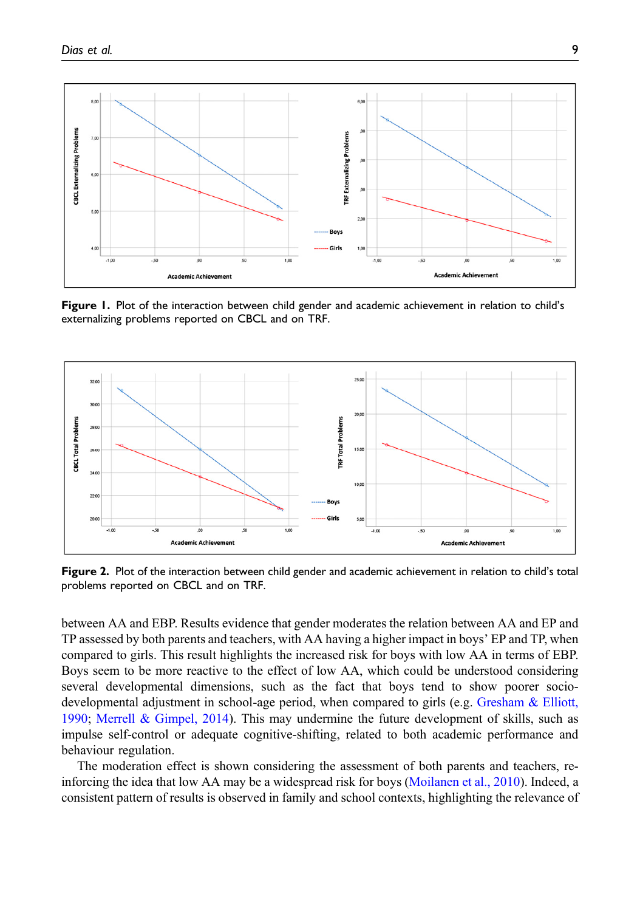

<span id="page-8-0"></span>Figure 1. Plot of the interaction between child gender and academic achievement in relation to child's externalizing problems reported on CBCL and on TRF.



<span id="page-8-1"></span>Figure 2. Plot of the interaction between child gender and academic achievement in relation to child's total problems reported on CBCL and on TRF.

between AA and EBP. Results evidence that gender moderates the relation between AA and EP and TP assessed by both parents and teachers, with AA having a higher impact in boys' EP and TP, when compared to girls. This result highlights the increased risk for boys with low AA in terms of EBP. Boys seem to be more reactive to the effect of low AA, which could be understood considering several developmental dimensions, such as the fact that boys tend to show poorer sociodevelopmental adjustment in school-age period, when compared to girls (e.g. [Gresham & Elliott,](#page-10-8) [1990](#page-10-8); [Merrell & Gimpel, 2014](#page-11-15)). This may undermine the future development of skills, such as impulse self-control or adequate cognitive-shifting, related to both academic performance and behaviour regulation.

The moderation effect is shown considering the assessment of both parents and teachers, reinforcing the idea that low AA may be a widespread risk for boys ([Moilanen et al., 2010\)](#page-11-6). Indeed, a consistent pattern of results is observed in family and school contexts, highlighting the relevance of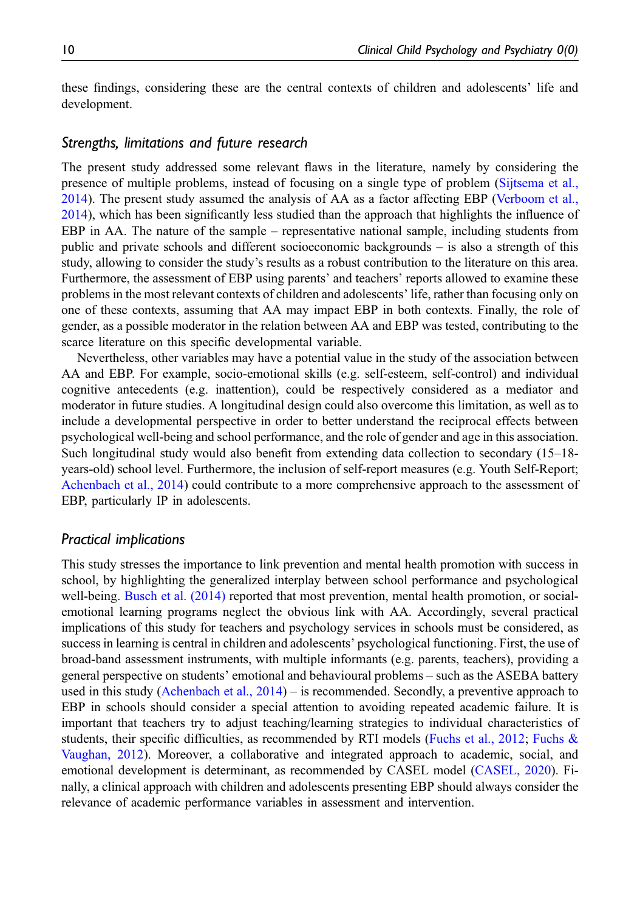these findings, considering these are the central contexts of children and adolescents' life and development.

#### Strengths, limitations and future research

The present study addressed some relevant flaws in the literature, namely by considering the presence of multiple problems, instead of focusing on a single type of problem ([Sijtsema et al.,](#page-11-4) [2014](#page-11-4)). The present study assumed the analysis of AA as a factor affecting EBP ([Verboom et al.,](#page-11-5) [2014](#page-11-5)), which has been significantly less studied than the approach that highlights the influence of EBP in AA. The nature of the sample – representative national sample, including students from public and private schools and different socioeconomic backgrounds – is also a strength of this study, allowing to consider the study's results as a robust contribution to the literature on this area. Furthermore, the assessment of EBP using parents' and teachers' reports allowed to examine these problems in the most relevant contexts of children and adolescents' life, rather than focusing only on one of these contexts, assuming that AA may impact EBP in both contexts. Finally, the role of gender, as a possible moderator in the relation between AA and EBP was tested, contributing to the scarce literature on this specific developmental variable.

Nevertheless, other variables may have a potential value in the study of the association between AA and EBP. For example, socio-emotional skills (e.g. self-esteem, self-control) and individual cognitive antecedents (e.g. inattention), could be respectively considered as a mediator and moderator in future studies. A longitudinal design could also overcome this limitation, as well as to include a developmental perspective in order to better understand the reciprocal effects between psychological well-being and school performance, and the role of gender and age in this association. Such longitudinal study would also benefit from extending data collection to secondary (15–18 years-old) school level. Furthermore, the inclusion of self-report measures (e.g. Youth Self-Report; [Achenbach et al., 2014\)](#page-10-4) could contribute to a more comprehensive approach to the assessment of EBP, particularly IP in adolescents.

#### Practical implications

This study stresses the importance to link prevention and mental health promotion with success in school, by highlighting the generalized interplay between school performance and psychological well-being. [Busch et al. \(2014\)](#page-10-9) reported that most prevention, mental health promotion, or socialemotional learning programs neglect the obvious link with AA. Accordingly, several practical implications of this study for teachers and psychology services in schools must be considered, as success in learning is central in children and adolescents' psychological functioning. First, the use of broad-band assessment instruments, with multiple informants (e.g. parents, teachers), providing a general perspective on students' emotional and behavioural problems – such as the ASEBA battery used in this study [\(Achenbach et al., 2014\)](#page-10-4) – is recommended. Secondly, a preventive approach to EBP in schools should consider a special attention to avoiding repeated academic failure. It is important that teachers try to adjust teaching/learning strategies to individual characteristics of students, their specific difficulties, as recommended by RTI models [\(Fuchs et al., 2012](#page-10-10); [Fuchs &](#page-10-11) [Vaughan, 2012](#page-10-11)). Moreover, a collaborative and integrated approach to academic, social, and emotional development is determinant, as recommended by CASEL model ([CASEL, 2020](#page-10-12)). Finally, a clinical approach with children and adolescents presenting EBP should always consider the relevance of academic performance variables in assessment and intervention.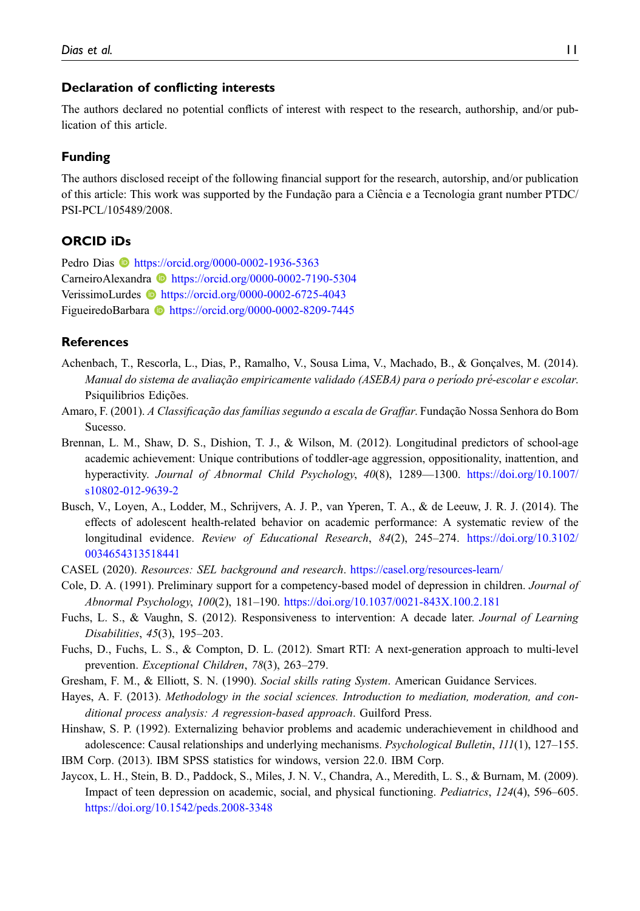#### Declaration of conflicting interests

The authors declared no potential conflicts of interest with respect to the research, authorship, and/or publication of this article.

#### Funding

The authors disclosed receipt of the following financial support for the research, autorship, and/or publication of this article: This work was supported by the Fundação para a Ciencia e a Tecnologia grant number PTDC/ ˆ PSI-PCL/105489/2008.

### ORCID iDs

Pedro Dias **D** <https://orcid.org/0000-0002-1936-5363> CarneiroAlexandra <https://orcid.org/0000-0002-7190-5304> VerissimoLurdes <https://orcid.org/0000-0002-6725-4043> FigueiredoBarbara **b** <https://orcid.org/0000-0002-8209-7445>

#### **References**

- <span id="page-10-4"></span>Achenbach, T., Rescorla, L., Dias, P., Ramalho, V., Sousa Lima, V., Machado, B., & Gonçalves, M. (2014). Manual do sistema de avaliação empiricamente validado (ASEBA) para o período pré-escolar e escolar. Psiquilibrios Edições.
- <span id="page-10-5"></span>Amaro, F. (2001). A Classificação das famílias segundo a escala de Graffar. Fundação Nossa Senhora do Bom Sucesso.
- <span id="page-10-1"></span>Brennan, L. M., Shaw, D. S., Dishion, T. J., & Wilson, M. (2012). Longitudinal predictors of school-age academic achievement: Unique contributions of toddler-age aggression, oppositionality, inattention, and hyperactivity. Journal of Abnormal Child Psychology, 40(8), 1289—1300. [https://doi.org/10.1007/](https://doi.org/10.1007/s10802-012-9639-2) [s10802-012-9639-2](https://doi.org/10.1007/s10802-012-9639-2)
- <span id="page-10-9"></span>Busch, V., Loyen, A., Lodder, M., Schrijvers, A. J. P., van Yperen, T. A., & de Leeuw, J. R. J. (2014). The effects of adolescent health-related behavior on academic performance: A systematic review of the longitudinal evidence. Review of Educational Research, 84(2), 245–274. [https://doi.org/10.3102/](https://doi.org/10.3102/0034654313518441) [0034654313518441](https://doi.org/10.3102/0034654313518441)
- <span id="page-10-12"></span><span id="page-10-3"></span>CASEL (2020). Resources: SEL background and research. <https://casel.org/resources-learn/>
- Cole, D. A. (1991). Preliminary support for a competency-based model of depression in children. Journal of Abnormal Psychology, 100(2), 181–190. <https://doi.org/10.1037/0021-843X.100.2.181>
- <span id="page-10-11"></span>Fuchs, L. S., & Vaughn, S. (2012). Responsiveness to intervention: A decade later. Journal of Learning Disabilities, 45(3), 195–203.
- <span id="page-10-10"></span>Fuchs, D., Fuchs, L. S., & Compton, D. L. (2012). Smart RTI: A next-generation approach to multi-level prevention. Exceptional Children, 78(3), 263–279.
- <span id="page-10-8"></span><span id="page-10-7"></span>Gresham, F. M., & Elliott, S. N. (1990). Social skills rating System. American Guidance Services.
- Hayes, A. F. (2013). Methodology in the social sciences. Introduction to mediation, moderation, and conditional process analysis: A regression-based approach. Guilford Press.
- <span id="page-10-0"></span>Hinshaw, S. P. (1992). Externalizing behavior problems and academic underachievement in childhood and adolescence: Causal relationships and underlying mechanisms. *Psychological Bulletin*,  $III(1)$ , 127–155.
- <span id="page-10-6"></span><span id="page-10-2"></span>IBM Corp. (2013). IBM SPSS statistics for windows, version 22.0. IBM Corp.
- Jaycox, L. H., Stein, B. D., Paddock, S., Miles, J. N. V., Chandra, A., Meredith, L. S., & Burnam, M. (2009). Impact of teen depression on academic, social, and physical functioning. Pediatrics, 124(4), 596–605. <https://doi.org/10.1542/peds.2008-3348>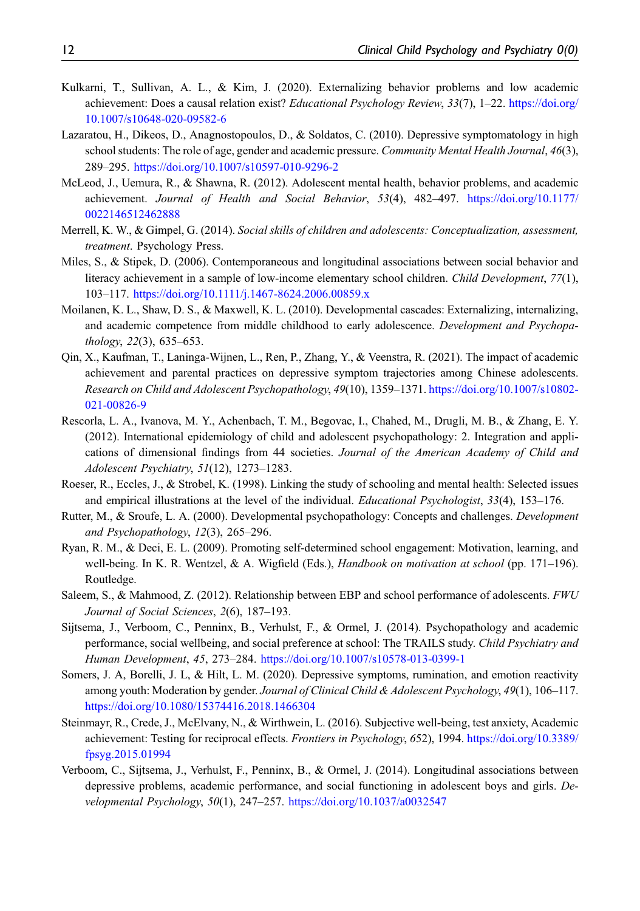- <span id="page-11-11"></span>Kulkarni, T., Sullivan, A. L., & Kim, J. (2020). Externalizing behavior problems and low academic achievement: Does a causal relation exist? Educational Psychology Review, 33(7), 1–22. [https://doi.org/](https://doi.org/10.1007/s10648-020-09582-6) [10.1007/s10648-020-09582-6](https://doi.org/10.1007/s10648-020-09582-6)
- <span id="page-11-8"></span>Lazaratou, H., Dikeos, D., Anagnostopoulos, D., & Soldatos, C. (2010). Depressive symptomatology in high school students: The role of age, gender and academic pressure. Community Mental Health Journal, 46(3), 289–295. <https://doi.org/10.1007/s10597-010-9296-2>
- <span id="page-11-2"></span>McLeod, J., Uemura, R., & Shawna, R. (2012). Adolescent mental health, behavior problems, and academic achievement. Journal of Health and Social Behavior, 53(4), 482–497. [https://doi.org/10.1177/](https://doi.org/10.1177/0022146512462888) [0022146512462888](https://doi.org/10.1177/0022146512462888)
- <span id="page-11-15"></span>Merrell, K. W., & Gimpel, G. (2014). Social skills of children and adolescents: Conceptualization, assessment, treatment. Psychology Press.
- <span id="page-11-10"></span>Miles, S., & Stipek, D. (2006). Contemporaneous and longitudinal associations between social behavior and literacy achievement in a sample of low-income elementary school children. Child Development, 77(1), 103–117. <https://doi.org/10.1111/j.1467-8624.2006.00859.x>
- <span id="page-11-6"></span>Moilanen, K. L., Shaw, D. S., & Maxwell, K. L. (2010). Developmental cascades: Externalizing, internalizing, and academic competence from middle childhood to early adolescence. Development and Psychopathology, 22(3), 635–653.
- <span id="page-11-9"></span>Qin, X., Kaufman, T., Laninga-Wijnen, L., Ren, P., Zhang, Y., & Veenstra, R. (2021). The impact of academic achievement and parental practices on depressive symptom trajectories among Chinese adolescents. Research on Child and Adolescent Psychopathology, 49(10), 1359–1371. [https://doi.org/10.1007/s10802-](https://doi.org/10.1007/s10802-021-00826-9) [021-00826-9](https://doi.org/10.1007/s10802-021-00826-9)
- <span id="page-11-14"></span>Rescorla, L. A., Ivanova, M. Y., Achenbach, T. M., Begovac, I., Chahed, M., Drugli, M. B., & Zhang, E. Y. (2012). International epidemiology of child and adolescent psychopathology: 2. Integration and applications of dimensional findings from 44 societies. Journal of the American Academy of Child and Adolescent Psychiatry, 51(12), 1273–1283.
- <span id="page-11-7"></span>Roeser, R., Eccles, J., & Strobel, K. (1998). Linking the study of schooling and mental health: Selected issues and empirical illustrations at the level of the individual. Educational Psychologist, 33(4), 153–176.
- <span id="page-11-12"></span>Rutter, M., & Sroufe, L. A. (2000). Developmental psychopathology: Concepts and challenges. *Development* and Psychopathology, 12(3), 265–296.
- <span id="page-11-0"></span>Ryan, R. M., & Deci, E. L. (2009). Promoting self-determined school engagement: Motivation, learning, and well-being. In K. R. Wentzel, & A. Wigfield (Eds.), *Handbook on motivation at school* (pp. 171–196). Routledge.
- <span id="page-11-3"></span>Saleem, S., & Mahmood, Z. (2012). Relationship between EBP and school performance of adolescents. FWU Journal of Social Sciences, 2(6), 187–193.
- <span id="page-11-4"></span>Sijtsema, J., Verboom, C., Penninx, B., Verhulst, F., & Ormel, J. (2014). Psychopathology and academic performance, social wellbeing, and social preference at school: The TRAILS study. Child Psychiatry and Human Development, 45, 273–284. <https://doi.org/10.1007/s10578-013-0399-1>
- <span id="page-11-13"></span>Somers, J. A, Borelli, J. L, & Hilt, L. M. (2020). Depressive symptoms, rumination, and emotion reactivity among youth: Moderation by gender. Journal of Clinical Child & Adolescent Psychology, 49(1), 106–117. <https://doi.org/10.1080/15374416.2018.1466304>
- <span id="page-11-1"></span>Steinmayr, R., Crede, J., McElvany, N., & Wirthwein, L. (2016). Subjective well-being, test anxiety, Academic achievement: Testing for reciprocal effects. Frontiers in Psychology, 652), 1994. [https://doi.org/10.3389/](https://doi.org/10.3389/fpsyg.2015.01994) [fpsyg.2015.01994](https://doi.org/10.3389/fpsyg.2015.01994)
- <span id="page-11-5"></span>Verboom, C., Sijtsema, J., Verhulst, F., Penninx, B., & Ormel, J. (2014). Longitudinal associations between depressive problems, academic performance, and social functioning in adolescent boys and girls. Developmental Psychology, 50(1), 247–257. <https://doi.org/10.1037/a0032547>